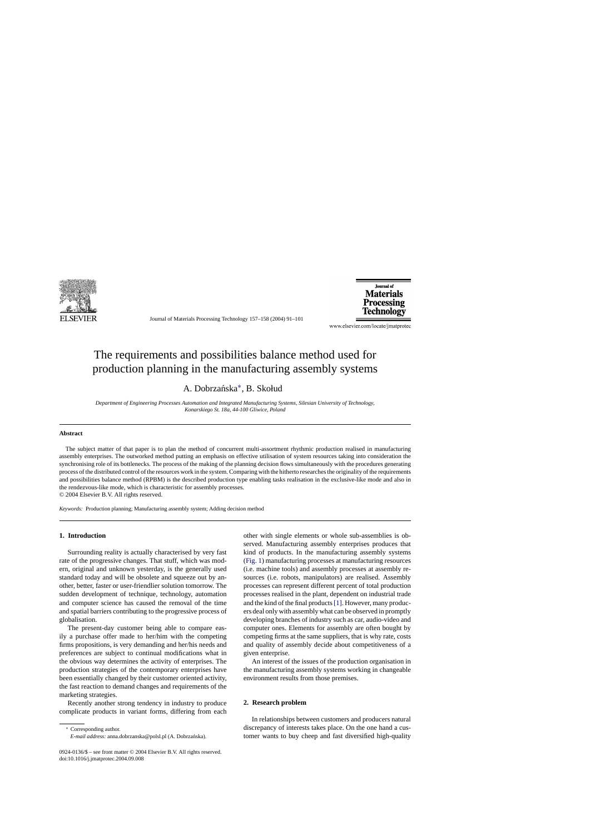

Journal of Materials Processing Technology 157–158 (2004) 91–101

**Lournal of Materials** Processing Technology

www.elsevier.com/locate/jmatprotec

# The requirements and possibilities balance method used for production planning in the manufacturing assembly systems

A. Dobrzańska\*, B. Skołud

*Department of Engineering Processes Automation and Integrated Manufacturing Systems, Silesian University of Technology, Konarskiego St.18a, 44-100 Gliwice, Poland*

## **Abstract**

The subject matter of that paper is to plan the method of concurrent multi-assortment rhythmic production realised in manufacturing assembly enterprises. The outworked method putting an emphasis on effective utilisation of system resources taking into consideration the synchronising role of its bottlenecks. The process of the making of the planning decision flows simultaneously with the procedures generating process of the distributed control of the resources work in the system. Comparing with the hitherto researches the originality of the requirements and possibilities balance method (RPBM) is the described production type enabling tasks realisation in the exclusive-like mode and also in the rendezvous-like mode, which is characteristic for assembly processes. © 2004 Elsevier B.V. All rights reserved.

*Keywords:* Production planning; Manufacturing assembly system; Adding decision method

## **1. Introduction**

Surrounding reality is actually characterised by very fast rate of the progressive changes. That stuff, which was modern, original and unknown yesterday, is the generally used standard today and will be obsolete and squeeze out by another, better, faster or user-friendlier solution tomorrow. The sudden development of technique, technology, automation and computer science has caused the removal of the time and spatial barriers contributing to the progressive process of globalisation.

The present-day customer being able to compare easily a purchase offer made to her/him with the competing firms propositions, is very demanding and her/his needs and preferences are subject to continual modifications what in the obvious way determines the activity of enterprises. The production strategies of the contemporary enterprises have been essentially changed by their customer oriented activity, the fast reaction to demand changes and requirements of the marketing strategies.

Recently another strong tendency in industry to produce complicate products in variant forms, differing from each

<sup>∗</sup> Corresponding author.

other with single elements or whole sub-assemblies is observed. Manufacturing assembly enterprises produces that kind of products. In the manufacturing assembly systems ([Fig. 1\)](#page-1-0) manufacturing processes at manufacturing resources (i.e. machine tools) and assembly processes at assembly resources (i.e. robots, manipulators) are realised. Assembly processes can represent different percent of total production processes realised in the plant, dependent on industrial trade and the kind of the final products[\[1\]. H](#page--1-0)owever, many producers deal only with assembly what can be observed in promptly developing branches of industry such as car, audio-video and computer ones. Elements for assembly are often bought by competing firms at the same suppliers, that is why rate, costs and quality of assembly decide about competitiveness of a given enterprise.

An interest of the issues of the production organisation in the manufacturing assembly systems working in changeable environment results from those premises.

#### **2. Research problem**

In relationships between customers and producers natural discrepancy of interests takes place. On the one hand a customer wants to buy cheep and fast diversified high-quality

*E-mail address:* anna.dobrzanska@polsl.pl (A. Dobrzanska). ´

<sup>0924-0136/\$ –</sup> see front matter © 2004 Elsevier B.V. All rights reserved. doi:10.1016/j.jmatprotec.2004.09.008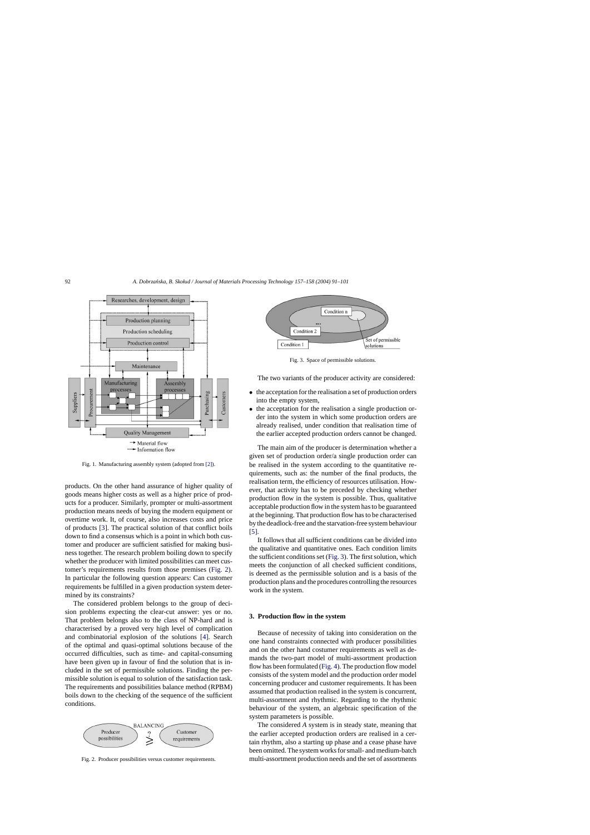<span id="page-1-0"></span>

Fig. 1. Manufacturing assembly system (adopted from [\[2\]\).](#page--1-0)

products. On the other hand assurance of higher quality of goods means higher costs as well as a higher price of products for a producer. Similarly, prompter or multi-assortment production means needs of buying the modern equipment or overtime work. It, of course, also increases costs and price of products [\[3\].](#page--1-0) The practical solution of that conflict boils down to find a consensus which is a point in which both customer and producer are sufficient satisfied for making business together. The research problem boiling down to specify whether the producer with limited possibilities can meet customer's requirements results from those premises (Fig. 2). In particular the following question appears: Can customer requirements be fulfilled in a given production system determined by its constraints?

The considered problem belongs to the group of decision problems expecting the clear-cut answer: yes or no. That problem belongs also to the class of NP-hard and is characterised by a proved very high level of complication and combinatorial explosion of the solutions [\[4\].](#page--1-0) Search of the optimal and quasi-optimal solutions because of the occurred difficulties, such as time- and capital-consuming have been given up in favour of find the solution that is included in the set of permissible solutions. Finding the permissible solution is equal to solution of the satisfaction task. The requirements and possibilities balance method (RPBM) boils down to the checking of the sequence of the sufficient conditions.



Fig. 2. Producer possibilities versus customer requirements.



Fig. 3. Space of permissible solutions.

The two variants of the producer activity are considered:

- the acceptation for the realisation a set of production orders into the empty system,
- the acceptation for the realisation a single production order into the system in which some production orders are already realised, under condition that realisation time of the earlier accepted production orders cannot be changed.

The main aim of the producer is determination whether a given set of production order/a single production order can be realised in the system according to the quantitative requirements, such as: the number of the final products, the realisation term, the efficiency of resources utilisation. However, that activity has to be preceded by checking whether production flow in the system is possible. Thus, qualitative acceptable production flow in the system has to be guaranteed at the beginning. That production flow has to be characterised by the deadlock-free and the starvation-free system behaviour [\[5\].](#page--1-0)

It follows that all sufficient conditions can be divided into the qualitative and quantitative ones. Each condition limits the sufficient conditions set (Fig. 3). The first solution, which meets the conjunction of all checked sufficient conditions, is deemed as the permissible solution and is a basis of the production plans and the procedures controlling the resources work in the system.

### **3. Production flow in the system**

Because of necessity of taking into consideration on the one hand constraints connected with producer possibilities and on the other hand costumer requirements as well as demands the two-part model of multi-assortment production flow has been formulated ([Fig. 4\).](#page--1-0) The production flow model consists of the system model and the production order model concerning producer and customer requirements. It has been assumed that production realised in the system is concurrent, multi-assortment and rhythmic. Regarding to the rhythmic behaviour of the system, an algebraic specification of the system parameters is possible.

The considered *A* system is in steady state, meaning that the earlier accepted production orders are realised in a certain rhythm, also a starting up phase and a cease phase have been omitted. The system works for small- and medium-batch multi-assortment production needs and the set of assortments